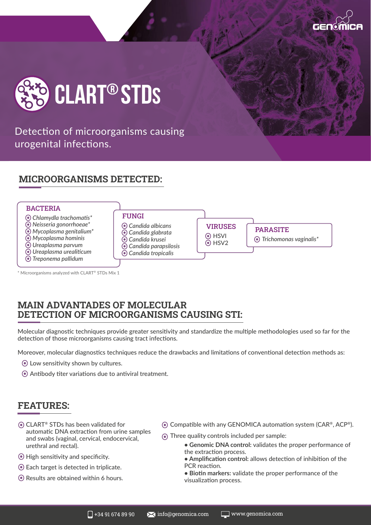



Detection of microorganisms causing urogenital infections.

## **MICROORGANISMS DETECTED:**



\* Microorganisms analyzed with CLART® STDs Mix 1

## **MAIN ADVANTADES OF MOLECULAR DETECTION OF MICROORGANISMS CAUSING STI:**

Molecular diagnostic techniques provide greater sensitivity and standardize the multiple methodologies used so far for the detection of those microorganisms causing tract infections.

Moreover, molecular diagnostics techniques reduce the drawbacks and limitations of conventional detection methods as:

- Low sensitivity shown by cultures.
- Antibody titer variations due to antiviral treatment.

## **FEATURES:**

- **⊙ CLART<sup>®</sup> STDs has been validated for** automatic DNA extraction from urine samples and swabs (vaginal, cervical, endocervical, urethral and rectal).
- High sensitivity and specificity.
- Each target is detected in triplicate.
- Results are obtained within 6 hours.
- $\odot$  Compatible with any GENOMICA automation system (CAR®, ACP®).
- Three quality controls included per sample:
	- **Genomic DNA control:** validates the proper performance of the extraction process.
	- **Amplification control:** allows detection of inhibition of the PCR reaction.
	- **Biotin markers:** validate the proper performance of the visualization process.